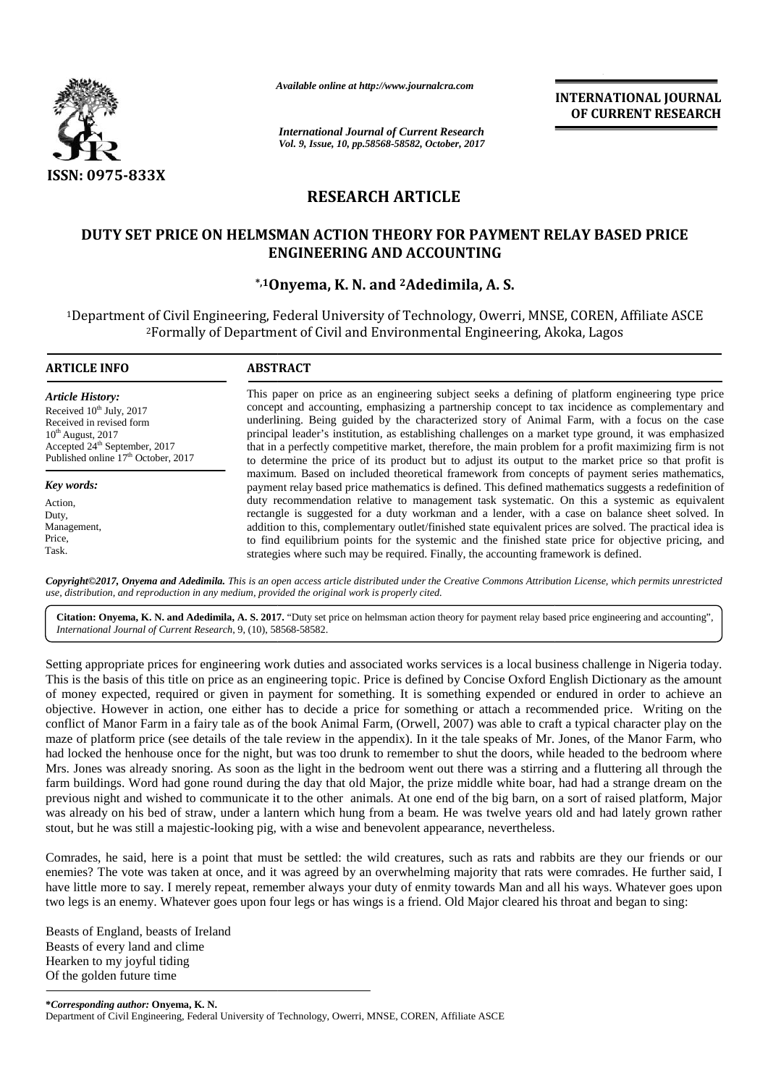

*Available online at http://www.journalcra.com*

**INTERNATIONAL JOURNAL OF CURRENT RESEARCH**

# **RESEARCH ARTICLE**

## DUTY SET PRICE ON HELMSMAN ACTION THEORY FOR PAYMENT RELAY BASED PRICE **ENGINEERING AND ACCOUNTING**

## **\*,1Onyema, K. N. and <sup>2</sup>Adedimila, A. S.**

|                                                                                                                                                                                                                           | <b>International Journal of Current Research</b><br>Vol. 9, Issue, 10, pp.58568-58582, October, 2017                                                                                                                                                                                                                                                                                                                                                                                                                                                                                                                                                                                                                                                                                                                                                                                                                                                                                                                                                                                                                                                                                                                                                                                                                                                                                                                                                                                                                                                                                                          |  |  |  |  |  |  |
|---------------------------------------------------------------------------------------------------------------------------------------------------------------------------------------------------------------------------|---------------------------------------------------------------------------------------------------------------------------------------------------------------------------------------------------------------------------------------------------------------------------------------------------------------------------------------------------------------------------------------------------------------------------------------------------------------------------------------------------------------------------------------------------------------------------------------------------------------------------------------------------------------------------------------------------------------------------------------------------------------------------------------------------------------------------------------------------------------------------------------------------------------------------------------------------------------------------------------------------------------------------------------------------------------------------------------------------------------------------------------------------------------------------------------------------------------------------------------------------------------------------------------------------------------------------------------------------------------------------------------------------------------------------------------------------------------------------------------------------------------------------------------------------------------------------------------------------------------|--|--|--|--|--|--|
| ISSN: 0975-833X                                                                                                                                                                                                           |                                                                                                                                                                                                                                                                                                                                                                                                                                                                                                                                                                                                                                                                                                                                                                                                                                                                                                                                                                                                                                                                                                                                                                                                                                                                                                                                                                                                                                                                                                                                                                                                               |  |  |  |  |  |  |
|                                                                                                                                                                                                                           | <b>RESEARCH ARTICLE</b>                                                                                                                                                                                                                                                                                                                                                                                                                                                                                                                                                                                                                                                                                                                                                                                                                                                                                                                                                                                                                                                                                                                                                                                                                                                                                                                                                                                                                                                                                                                                                                                       |  |  |  |  |  |  |
|                                                                                                                                                                                                                           | DUTY SET PRICE ON HELMSMAN ACTION THEORY FOR PAYMENT RELAY BASED PRICE                                                                                                                                                                                                                                                                                                                                                                                                                                                                                                                                                                                                                                                                                                                                                                                                                                                                                                                                                                                                                                                                                                                                                                                                                                                                                                                                                                                                                                                                                                                                        |  |  |  |  |  |  |
|                                                                                                                                                                                                                           | <b>ENGINEERING AND ACCOUNTING</b>                                                                                                                                                                                                                                                                                                                                                                                                                                                                                                                                                                                                                                                                                                                                                                                                                                                                                                                                                                                                                                                                                                                                                                                                                                                                                                                                                                                                                                                                                                                                                                             |  |  |  |  |  |  |
|                                                                                                                                                                                                                           | *,10nyema, K. N. and <sup>2</sup> Adedimila, A. S.                                                                                                                                                                                                                                                                                                                                                                                                                                                                                                                                                                                                                                                                                                                                                                                                                                                                                                                                                                                                                                                                                                                                                                                                                                                                                                                                                                                                                                                                                                                                                            |  |  |  |  |  |  |
|                                                                                                                                                                                                                           | <sup>1</sup> Department of Civil Engineering, Federal University of Technology, Owerri, MNSE, COREN, Affiliate ASCE<br><sup>2</sup> Formally of Department of Civil and Environmental Engineering, Akoka, Lagos                                                                                                                                                                                                                                                                                                                                                                                                                                                                                                                                                                                                                                                                                                                                                                                                                                                                                                                                                                                                                                                                                                                                                                                                                                                                                                                                                                                               |  |  |  |  |  |  |
| <b>ARTICLE INFO</b>                                                                                                                                                                                                       | <b>ABSTRACT</b>                                                                                                                                                                                                                                                                                                                                                                                                                                                                                                                                                                                                                                                                                                                                                                                                                                                                                                                                                                                                                                                                                                                                                                                                                                                                                                                                                                                                                                                                                                                                                                                               |  |  |  |  |  |  |
| <b>Article History:</b><br>Received 10 <sup>th</sup> July, 2017<br>Received in revised form<br>$10^{\rm th}$ August, 2017<br>Accepted $24^{\text{th}}$ September, 2017<br>Published online $17^{\text{th}}$ October, 2017 | This paper on price as an engineering subject seeks a defining of platform engineering type price<br>concept and accounting, emphasizing a partnership concept to tax incidence as complementary and<br>underlining. Being guided by the characterized story of Animal Farm, with a focus on the case<br>principal leader's institution, as establishing challenges on a market type ground, it was emphasized<br>that in a perfectly competitive market, therefore, the main problem for a profit maximizing firm is not<br>to determine the price of its product but to adjust its output to the market price so that profit is<br>maximum. Based on included theoretical framework from concepts of payment series mathematics,                                                                                                                                                                                                                                                                                                                                                                                                                                                                                                                                                                                                                                                                                                                                                                                                                                                                            |  |  |  |  |  |  |
| Key words:                                                                                                                                                                                                                | payment relay based price mathematics is defined. This defined mathematics suggests a redefinition of                                                                                                                                                                                                                                                                                                                                                                                                                                                                                                                                                                                                                                                                                                                                                                                                                                                                                                                                                                                                                                                                                                                                                                                                                                                                                                                                                                                                                                                                                                         |  |  |  |  |  |  |
| Action,<br>Duty,                                                                                                                                                                                                          | duty recommendation relative to management task systematic. On this a systemic as equivalent<br>rectangle is suggested for a duty workman and a lender, with a case on balance sheet solved. In                                                                                                                                                                                                                                                                                                                                                                                                                                                                                                                                                                                                                                                                                                                                                                                                                                                                                                                                                                                                                                                                                                                                                                                                                                                                                                                                                                                                               |  |  |  |  |  |  |
| Management,                                                                                                                                                                                                               | addition to this, complementary outlet/finished state equivalent prices are solved. The practical idea is                                                                                                                                                                                                                                                                                                                                                                                                                                                                                                                                                                                                                                                                                                                                                                                                                                                                                                                                                                                                                                                                                                                                                                                                                                                                                                                                                                                                                                                                                                     |  |  |  |  |  |  |
| Price,<br>Task.                                                                                                                                                                                                           | to find equilibrium points for the systemic and the finished state price for objective pricing, and<br>strategies where such may be required. Finally, the accounting framework is defined.                                                                                                                                                                                                                                                                                                                                                                                                                                                                                                                                                                                                                                                                                                                                                                                                                                                                                                                                                                                                                                                                                                                                                                                                                                                                                                                                                                                                                   |  |  |  |  |  |  |
|                                                                                                                                                                                                                           |                                                                                                                                                                                                                                                                                                                                                                                                                                                                                                                                                                                                                                                                                                                                                                                                                                                                                                                                                                                                                                                                                                                                                                                                                                                                                                                                                                                                                                                                                                                                                                                                               |  |  |  |  |  |  |
|                                                                                                                                                                                                                           | Copyright@2017, Onyema and Adedimila. This is an open access article distributed under the Creative Commons Attribution License, which permits unrestricted<br>use, distribution, and reproduction in any medium, provided the original work is properly cited.                                                                                                                                                                                                                                                                                                                                                                                                                                                                                                                                                                                                                                                                                                                                                                                                                                                                                                                                                                                                                                                                                                                                                                                                                                                                                                                                               |  |  |  |  |  |  |
| International Journal of Current Research, 9, (10), 58568-58582.                                                                                                                                                          | Citation: Onyema, K. N. and Adedimila, A. S. 2017. "Duty set price on helmsman action theory for payment relay based price engineering and accounting",                                                                                                                                                                                                                                                                                                                                                                                                                                                                                                                                                                                                                                                                                                                                                                                                                                                                                                                                                                                                                                                                                                                                                                                                                                                                                                                                                                                                                                                       |  |  |  |  |  |  |
|                                                                                                                                                                                                                           | Setting appropriate prices for engineering work duties and associated works services is a local business challenge in Nigeria today.<br>This is the basis of this title on price as an engineering topic. Price is defined by Concise Oxford English Dictionary as the amount<br>of money expected, required or given in payment for something. It is something expended or endured in order to achieve an<br>objective. However in action, one either has to decide a price for something or attach a recommended price. Writing on the<br>conflict of Manor Farm in a fairy tale as of the book Animal Farm, (Orwell, 2007) was able to craft a typical character play on the<br>maze of platform price (see details of the tale review in the appendix). In it the tale speaks of Mr. Jones, of the Manor Farm, who<br>had locked the henhouse once for the night, but was too drunk to remember to shut the doors, while headed to the bedroom where<br>Mrs. Jones was already snoring. As soon as the light in the bedroom went out there was a stirring and a fluttering all through the<br>farm buildings. Word had gone round during the day that old Major, the prize middle white boar, had had a strange dream on the<br>previous night and wished to communicate it to the other animals. At one end of the big barn, on a sort of raised platform, Major<br>was already on his bed of straw, under a lantern which hung from a beam. He was twelve years old and had lately grown rather<br>stout, but he was still a majestic-looking pig, with a wise and benevolent appearance, nevertheless. |  |  |  |  |  |  |
|                                                                                                                                                                                                                           | Comrades, he said, here is a point that must be settled: the wild creatures, such as rats and rabbits are they our friends or our<br>enemies? The vote was taken at once, and it was agreed by an overwhelming majority that rats were comrades. He further said, I<br>have little more to say. I merely repeat, remember always your duty of enmity towards Man and all his ways. Whatever goes upon<br>two legs is an enemy. Whatever goes upon four legs or has wings is a friend. Old Major cleared his throat and began to sing:                                                                                                                                                                                                                                                                                                                                                                                                                                                                                                                                                                                                                                                                                                                                                                                                                                                                                                                                                                                                                                                                         |  |  |  |  |  |  |
| Beasts of England, beasts of Ireland<br>Beasts of every land and clime<br>Hearken to my joyful tiding                                                                                                                     |                                                                                                                                                                                                                                                                                                                                                                                                                                                                                                                                                                                                                                                                                                                                                                                                                                                                                                                                                                                                                                                                                                                                                                                                                                                                                                                                                                                                                                                                                                                                                                                                               |  |  |  |  |  |  |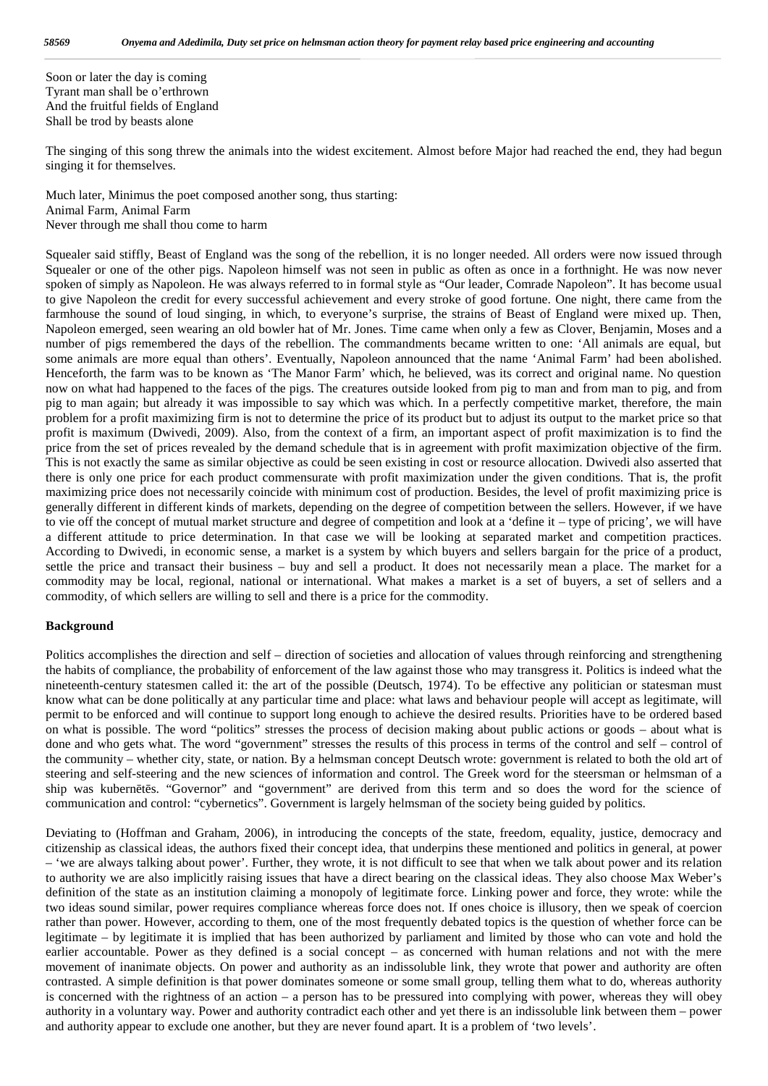Soon or later the day is coming Tyrant man shall be o'erthrown And the fruitful fields of England Shall be trod by beasts alone

The singing of this song threw the animals into the widest excitement. Almost before Major had reached the end, they had begun singing it for themselves.

Much later, Minimus the poet composed another song, thus starting: Animal Farm, Animal Farm Never through me shall thou come to harm

Squealer said stiffly, Beast of England was the song of the rebellion, it is no longer needed. All orders were now issued through Squealer or one of the other pigs. Napoleon himself was not seen in public as often as once in a forthnight. He was now never spoken of simply as Napoleon. He was always referred to in formal style as "Our leader, Comrade Napoleon". It has become usual to give Napoleon the credit for every successful achievement and every stroke of good fortune. One night, there came from the farmhouse the sound of loud singing, in which, to everyone's surprise, the strains of Beast of England were mixed up. Then, Napoleon emerged, seen wearing an old bowler hat of Mr. Jones. Time came when only a few as Clover, Benjamin, Moses and a number of pigs remembered the days of the rebellion. The commandments became written to one: 'All animals are equal, but some animals are more equal than others'. Eventually, Napoleon announced that the name 'Animal Farm' had been abolished. Henceforth, the farm was to be known as 'The Manor Farm' which, he believed, was its correct and original name. No question now on what had happened to the faces of the pigs. The creatures outside looked from pig to man and from man to pig, and from pig to man again; but already it was impossible to say which was which. In a perfectly competitive market, therefore, the main problem for a profit maximizing firm is not to determine the price of its product but to adjust its output to the market price so that profit is maximum (Dwivedi, 2009). Also, from the context of a firm, an important aspect of profit maximization is to find the price from the set of prices revealed by the demand schedule that is in agreement with profit maximization objective of the firm. This is not exactly the same as similar objective as could be seen existing in cost or resource allocation. Dwivedi also asserted that there is only one price for each product commensurate with profit maximization under the given conditions. That is, the profit maximizing price does not necessarily coincide with minimum cost of production. Besides, the level of profit maximizing price is generally different in different kinds of markets, depending on the degree of competition between the sellers. However, if we have to vie off the concept of mutual market structure and degree of competition and look at a 'define it – type of pricing', we will have a different attitude to price determination. In that case we will be looking at separated market and competition practices. According to Dwivedi, in economic sense, a market is a system by which buyers and sellers bargain for the price of a product, settle the price and transact their business – buy and sell a product. It does not necessarily mean a place. The market for a commodity may be local, regional, national or international. What makes a market is a set of buyers, a set of sellers and a commodity, of which sellers are willing to sell and there is a price for the commodity.

### **Background**

Politics accomplishes the direction and self – direction of societies and allocation of values through reinforcing and strengthening the habits of compliance, the probability of enforcement of the law against those who may transgress it. Politics is indeed what the nineteenth-century statesmen called it: the art of the possible (Deutsch, 1974). To be effective any politician or statesman must know what can be done politically at any particular time and place: what laws and behaviour people will accept as legitimate, will permit to be enforced and will continue to support long enough to achieve the desired results. Priorities have to be ordered based on what is possible. The word "politics" stresses the process of decision making about public actions or goods – about what is done and who gets what. The word "government" stresses the results of this process in terms of the control and self – control of the community – whether city, state, or nation. By a helmsman concept Deutsch wrote: government is related to both the old art of steering and self-steering and the new sciences of information and control. The Greek word for the steersman or helmsman of a ship was kubern t s. "Governor" and "government" are derived from this term and so does the word for the science of communication and control: "cybernetics". Government is largely helmsman of the society being guided by politics.

Deviating to (Hoffman and Graham, 2006), in introducing the concepts of the state, freedom, equality, justice, democracy and citizenship as classical ideas, the authors fixed their concept idea, that underpins these mentioned and politics in general, at power – 'we are always talking about power'. Further, they wrote, it is not difficult to see that when we talk about power and its relation to authority we are also implicitly raising issues that have a direct bearing on the classical ideas. They also choose Max Weber's definition of the state as an institution claiming a monopoly of legitimate force. Linking power and force, they wrote: while the two ideas sound similar, power requires compliance whereas force does not. If ones choice is illusory, then we speak of coercion rather than power. However, according to them, one of the most frequently debated topics is the question of whether force can be legitimate – by legitimate it is implied that has been authorized by parliament and limited by those who can vote and hold the earlier accountable. Power as they defined is a social concept – as concerned with human relations and not with the mere movement of inanimate objects. On power and authority as an indissoluble link, they wrote that power and authority are often contrasted. A simple definition is that power dominates someone or some small group, telling them what to do, whereas authority is concerned with the rightness of an action – a person has to be pressured into complying with power, whereas they will obey authority in a voluntary way. Power and authority contradict each other and yet there is an indissoluble link between them – power and authority appear to exclude one another, but they are never found apart. It is a problem of 'two levels'.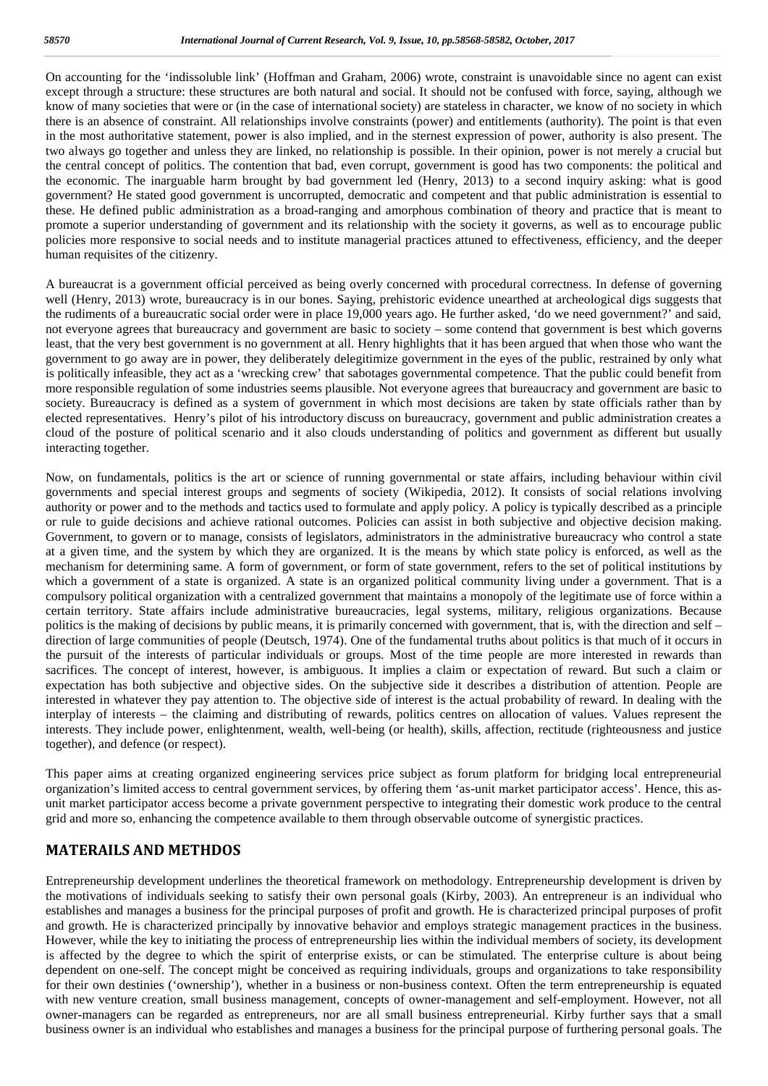On accounting for the 'indissoluble link' (Hoffman and Graham, 2006) wrote, constraint is unavoidable since no agent can exist except through a structure: these structures are both natural and social. It should not be confused with force, saying, although we know of many societies that were or (in the case of international society) are stateless in character, we know of no society in which there is an absence of constraint. All relationships involve constraints (power) and entitlements (authority). The point is that even in the most authoritative statement, power is also implied, and in the sternest expression of power, authority is also present. The two always go together and unless they are linked, no relationship is possible. In their opinion, power is not merely a crucial but the central concept of politics. The contention that bad, even corrupt, government is good has two components: the political and the economic. The inarguable harm brought by bad government led (Henry, 2013) to a second inquiry asking: what is good government? He stated good government is uncorrupted, democratic and competent and that public administration is essential to these. He defined public administration as a broad-ranging and amorphous combination of theory and practice that is meant to promote a superior understanding of government and its relationship with the society it governs, as well as to encourage public policies more responsive to social needs and to institute managerial practices attuned to effectiveness, efficiency, and the deeper human requisites of the citizenry.

A bureaucrat is a government official perceived as being overly concerned with procedural correctness. In defense of governing well (Henry, 2013) wrote, bureaucracy is in our bones. Saying, prehistoric evidence unearthed at archeological digs suggests that the rudiments of a bureaucratic social order were in place 19,000 years ago. He further asked, 'do we need government?' and said, not everyone agrees that bureaucracy and government are basic to society – some contend that government is best which governs least, that the very best government is no government at all. Henry highlights that it has been argued that when those who want the government to go away are in power, they deliberately delegitimize government in the eyes of the public, restrained by only what is politically infeasible, they act as a 'wrecking crew' that sabotages governmental competence. That the public could benefit from more responsible regulation of some industries seems plausible. Not everyone agrees that bureaucracy and government are basic to society. Bureaucracy is defined as a system of government in which most decisions are taken by state officials rather than by elected representatives. Henry's pilot of his introductory discuss on bureaucracy, government and public administration creates a cloud of the posture of political scenario and it also clouds understanding of politics and government as different but usually interacting together.

Now, on fundamentals, politics is the art or science of running governmental or state affairs, including behaviour within civil governments and special interest groups and segments of society (Wikipedia, 2012). It consists of social relations involving authority or power and to the methods and tactics used to formulate and apply policy. A policy is typically described as a principle or rule to guide decisions and achieve rational outcomes. Policies can assist in both subjective and objective decision making. Government, to govern or to manage, consists of legislators, administrators in the administrative bureaucracy who control a state at a given time, and the system by which they are organized. It is the means by which state policy is enforced, as well as the mechanism for determining same. A form of government, or form of state government, refers to the set of political institutions by which a government of a state is organized. A state is an organized political community living under a government. That is a compulsory political organization with a centralized government that maintains a monopoly of the legitimate use of force within a certain territory. State affairs include administrative bureaucracies, legal systems, military, religious organizations. Because politics is the making of decisions by public means, it is primarily concerned with government, that is, with the direction and self – direction of large communities of people (Deutsch, 1974). One of the fundamental truths about politics is that much of it occurs in the pursuit of the interests of particular individuals or groups. Most of the time people are more interested in rewards than sacrifices. The concept of interest, however, is ambiguous. It implies a claim or expectation of reward. But such a claim or expectation has both subjective and objective sides. On the subjective side it describes a distribution of attention. People are interested in whatever they pay attention to. The objective side of interest is the actual probability of reward. In dealing with the interplay of interests – the claiming and distributing of rewards, politics centres on allocation of values. Values represent the interests. They include power, enlightenment, wealth, well-being (or health), skills, affection, rectitude (righteousness and justice together), and defence (or respect).

This paper aims at creating organized engineering services price subject as forum platform for bridging local entrepreneurial organization's limited access to central government services, by offering them 'as-unit market participator access'. Hence, this as unit market participator access become a private government perspective to integrating their domestic work produce to the central grid and more so, enhancing the competence available to them through observable outcome of synergistic practices.

## **MATERAILS AND METHDOS**

Entrepreneurship development underlines the theoretical framework on methodology. Entrepreneurship development is driven by the motivations of individuals seeking to satisfy their own personal goals (Kirby, 2003). An entrepreneur is an individual who establishes and manages a business for the principal purposes of profit and growth. He is characterized principal purposes of profit and growth. He is characterized principally by innovative behavior and employs strategic management practices in the business. However, while the key to initiating the process of entrepreneurship lies within the individual members of society, its development is affected by the degree to which the spirit of enterprise exists, or can be stimulated. The enterprise culture is about being dependent on one-self. The concept might be conceived as requiring individuals, groups and organizations to take responsibility for their own destinies ('ownership'), whether in a business or non-business context. Often the term entrepreneurship is equated with new venture creation, small business management, concepts of owner-management and self-employment. However, not all owner-managers can be regarded as entrepreneurs, nor are all small business entrepreneurial. Kirby further says that a small business owner is an individual who establishes and manages a business for the principal purpose of furthering personal goals. The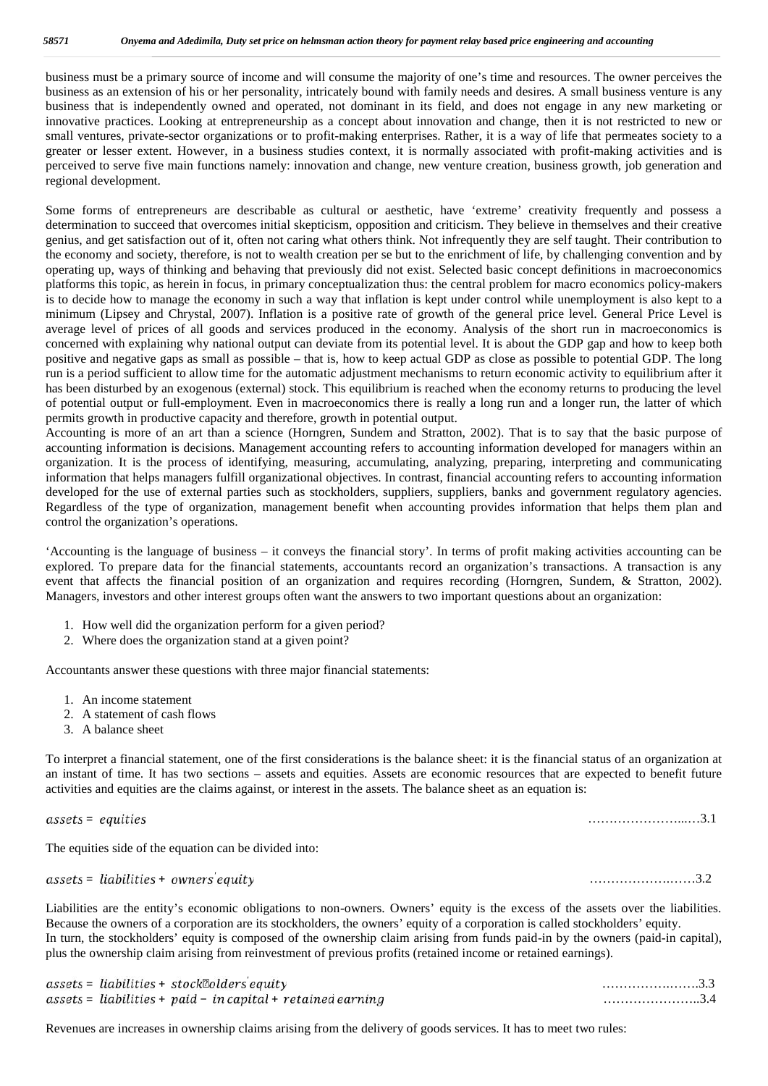business must be a primary source of income and will consume the majority of one's time and resources. The owner perceives the business as an extension of his or her personality, intricately bound with family needs and desires. A small business venture is any business that is independently owned and operated, not dominant in its field, and does not engage in any new marketing or innovative practices. Looking at entrepreneurship as a concept about innovation and change, then it is not restricted to new or small ventures, private-sector organizations or to profit-making enterprises. Rather, it is a way of life that permeates society to a greater or lesser extent. However, in a business studies context, it is normally associated with profit-making activities and is perceived to serve five main functions namely: innovation and change, new venture creation, business growth, job generation and regional development.

Some forms of entrepreneurs are describable as cultural or aesthetic, have 'extreme' creativity frequently and possess a determination to succeed that overcomes initial skepticism, opposition and criticism. They believe in themselves and their creative genius, and get satisfaction out of it, often not caring what others think. Not infrequently they are self taught. Their contribution to the economy and society, therefore, is not to wealth creation per se but to the enrichment of life, by challenging convention and by operating up, ways of thinking and behaving that previously did not exist. Selected basic concept definitions in macroeconomics platforms this topic, as herein in focus, in primary conceptualization thus: the central problem for macro economics policy-makers is to decide how to manage the economy in such a way that inflation is kept under control while unemployment is also kept to a minimum (Lipsey and Chrystal, 2007). Inflation is a positive rate of growth of the general price level. General Price Level is average level of prices of all goods and services produced in the economy. Analysis of the short run in macroeconomics is concerned with explaining why national output can deviate from its potential level. It is about the GDP gap and how to keep both positive and negative gaps as small as possible – that is, how to keep actual GDP as close as possible to potential GDP. The long run is a period sufficient to allow time for the automatic adjustment mechanisms to return economic activity to equilibrium after it has been disturbed by an exogenous (external) stock. This equilibrium is reached when the economy returns to producing the level of potential output or full-employment. Even in macroeconomics there is really a long run and a longer run, the latter of which permits growth in productive capacity and therefore, growth in potential output.

Accounting is more of an art than a science (Horngren, Sundem and Stratton, 2002). That is to say that the basic purpose of accounting information is decisions. Management accounting refers to accounting information developed for managers within an organization. It is the process of identifying, measuring, accumulating, analyzing, preparing, interpreting and communicating information that helps managers fulfill organizational objectives. In contrast, financial accounting refers to accounting information developed for the use of external parties such as stockholders, suppliers, suppliers, banks and government regulatory agencies. Regardless of the type of organization, management benefit when accounting provides information that helps them plan and control the organization's operations.

'Accounting is the language of business – it conveys the financial story'. In terms of profit making activities accounting can be explored. To prepare data for the financial statements, accountants record an organization's transactions. A transaction is any event that affects the financial position of an organization and requires recording (Horngren, Sundem, & Stratton, 2002). Managers, investors and other interest groups often want the answers to two important questions about an organization:

- 1. How well did the organization perform for a given period?
- 2. Where does the organization stand at a given point?

Accountants answer these questions with three major financial statements:

- 1. An income statement
- 2. A statement of cash flows
- 3. A balance sheet

To interpret a financial statement, one of the first considerations is the balance sheet: it is the financial status of an organization at an instant of time. It has two sections – assets and equities. Assets are economic resources that are expected to benefit future activities and equities are the claims against, or interest in the assets. The balance sheet as an equation is:

= …………………...…3.1

The equities side of the equation can be divided into:

*assets* = 
$$
liabilities + owners equity
$$

Liabilities are the entity's economic obligations to non-owners. Owners' equity is the excess of the assets over the liabilities. Because the owners of a corporation are its stockholders, the owners' equity of a corporation is called stockholders' equity. In turn, the stockholders' equity is composed of the ownership claim arising from funds paid-in by the owners (paid-in capital), plus the ownership claim arising from reinvestment of previous profits (retained income or retained earnings).

|  | $assets =$ liabilities + stock $2$ olders equity              |  |
|--|---------------------------------------------------------------|--|
|  | $assets =$ liabilities + paid - in capital + retained earning |  |

Revenues are increases in ownership claims arising from the delivery of goods services. It has to meet two rules:

= + ……………….……3.2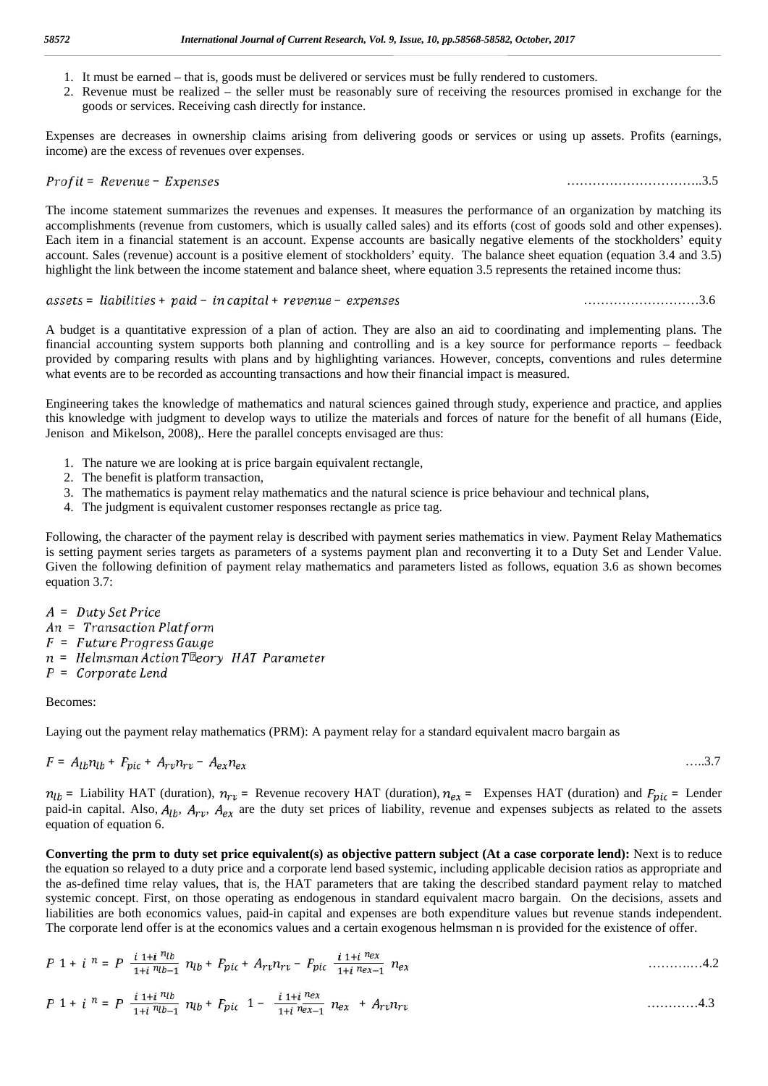- 1. It must be earned that is, goods must be delivered or services must be fully rendered to customers.
- 2. Revenue must be realized the seller must be reasonably sure of receiving the resources promised in exchange for the goods or services. Receiving cash directly for instance.

Expenses are decreases in ownership claims arising from delivering goods or services or using up assets. Profits (earnings, income) are the excess of revenues over expenses.

### = − …………………………..3.5

The income statement summarizes the revenues and expenses. It measures the performance of an organization by matching its accomplishments (revenue from customers, which is usually called sales) and its efforts (cost of goods sold and other expenses). Each item in a financial statement is an account. Expense accounts are basically negative elements of the stockholders' equity account. Sales (revenue) account is a positive element of stockholders' equity. The balance sheet equation (equation 3.4 and 3.5) highlight the link between the income statement and balance sheet, where equation 3.5 represents the retained income thus:

#### = + − + − ………………………3.6

A budget is a quantitative expression of a plan of action. They are also an aid to coordinating and implementing plans. The financial accounting system supports both planning and controlling and is a key source for performance reports – feedback provided by comparing results with plans and by highlighting variances. However, concepts, conventions and rules determine what events are to be recorded as accounting transactions and how their financial impact is measured.

Engineering takes the knowledge of mathematics and natural sciences gained through study, experience and practice, and applies this knowledge with judgment to develop ways to utilize the materials and forces of nature for the benefit of all humans (Eide, Jenison and Mikelson, 2008),. Here the parallel concepts envisaged are thus:

- 1. The nature we are looking at is price bargain equivalent rectangle,
- 2. The benefit is platform transaction,
- 3. The mathematics is payment relay mathematics and the natural science is price behaviour and technical plans,
- 4. The judgment is equivalent customer responses rectangle as price tag.

Following, the character of the payment relay is described with payment series mathematics in view. Payment Relay Mathematics is setting payment series targets as parameters of a systems payment plan and reconverting it to a Duty Set and Lender Value. Given the following definition of payment relay mathematics and parameters listed as follows, equation 3.6 as shown becomes equation 3.7:

 $A = Duty Set Price$  $An = Transaction$  Platform  $F = Future Progress Gauge$ n = Helmsman Action Telory HAT Parameter  $P = Corporate$ 

#### Becomes:

Laying out the payment relay mathematics (PRM): A payment relay for a standard equivalent macro bargain as

$$
F = A_{lb}n_{lb} + F_{pic} + A_{rv}n_{rv} - A_{ex}n_{ex}
$$

 $n_{lb}$  = Liability HAT (duration),  $n_{rv}$  = Revenue recovery HAT (duration),  $n_{ex}$  = Expenses HAT (duration) and  $F_{pic}$  = Lender paid-in capital. Also,  $A_{lb}$ ,  $A_{rv}$ ,  $A_{ex}$  are the duty set prices of liability, revenue and expenses subjects as related to the assets equation of equation 6.

**Converting the prm to duty set price equivalent(s) as objective pattern subject (At a case corporate lend):** Next is to reduce the equation so relayed to a duty price and a corporate lend based systemic, including applicable decision ratios as appropriate and the as-defined time relay values, that is, the HAT parameters that are taking the described standard payment relay to matched systemic concept. First, on those operating as endogenous in standard equivalent macro bargain. On the decisions, assets and liabilities are both economics values, paid-in capital and expenses are both expenditure values but revenue stands independent. The corporate lend offer is at the economics values and a certain exogenous helmsman n is provided for the existence of offer.

1 + = + + − ……….…4.2

1 + = + 1 − + …………4.3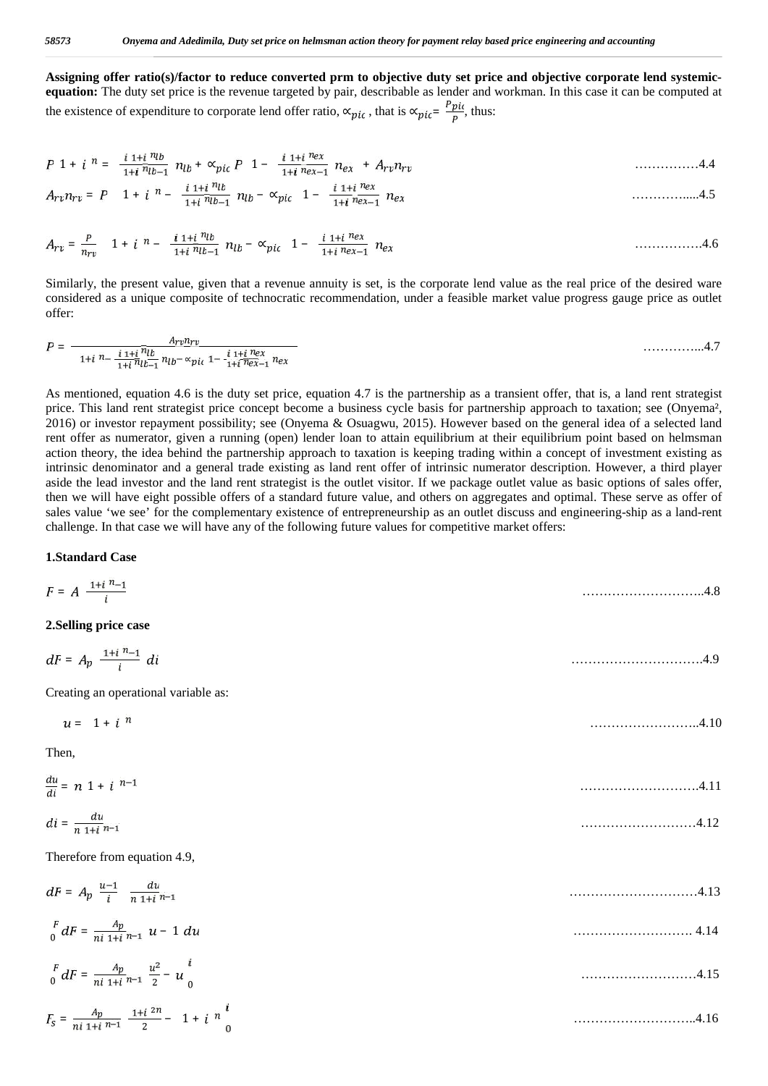**Assigning offer ratio(s)/factor to reduce converted prm to objective duty set price and objective corporate lend systemic equation:** The duty set price is the revenue targeted by pair, describable as lender and workman. In this case it can be computed at the existence of expenditure to corporate lend offer ratio,  $\alpha_{pic}$ , that is  $\alpha_{pic} = \frac{Ppic}{p}$ , thus:

$$
P \ 1 + i \ n = \frac{i \ 1 + i \ n_{lb}}{1 + i \ n_{lb-1}} \ n_{lb} + \alpha_{pic} \ P \ 1 - \frac{i \ 1 + i \ n_{ex}}{1 + i \ n_{ex-1}} \ n_{ex} \ + A_{rv} n_{rv} \tag{4.4}
$$

= 1 + − − ∝ 1 − ………….....4.5

= 1 + − − ∝ 1 − …………….4.6

Similarly, the present value, given that a revenue annuity is set, is the corporate lend value as the real price of the desired ware considered as a unique composite of technocratic recommendation, under a feasible market value progress gauge price as outlet offer:

$$
P = \frac{A_{rv}n_{rv}}{1+i\frac{n}{n}b_{r1}n_{lv}n_{kv}} \frac{1+i\frac{n_{ev}}{n}n_{kv}}{n_{lv}-\alpha_{pic}} \frac{1+i\frac{n_{ev}}{n}n_{kv}}{1+i\frac{n_{ev}}{n}n_{kv-1}} \frac{n_{ev}}{n_{kv}} \frac{n_{kv}}{n_{kv}} \frac{n_{kv}}{1+i\frac{n_{lv}}{n}n_{lv}} \frac{n_{lv}}{n_{lv}} \frac{n_{lv}}{n_{lv}} \frac{n_{lv}}{n_{lv}} \frac{n_{lv}}{n_{lv}} \frac{n_{lv}}{n_{lv}} \frac{n_{lv}}{n_{lv}} \frac{n_{lv}}{n_{lv}} \frac{n_{lv}}{n_{lv}} \frac{n_{lv}}{n_{lv}} \frac{n_{lv}}{n_{lv}} \frac{n_{lv}}{n_{lv}} \frac{n_{lv}}{n_{lv}} \frac{n_{lv}}{n_{lv}} \frac{n_{lv}}{n_{lv}} \frac{n_{lv}}{n_{lv}} \frac{n_{lv}}{n_{lv}} \frac{n_{lv}}{n_{lv}} \frac{n_{lv}}{n_{lv}} \frac{n_{lv}}{n_{lv}} \frac{n_{lv}}{n_{lv}} \frac{n_{lv}}{n_{lv}} \frac{n_{lv}}{n_{lv}} \frac{n_{lv}}{n_{lv}} \frac{n_{lv}}{n_{lv}} \frac{n_{lv}}{n_{lv}} \frac{n_{lv}}{n_{lv}} \frac{n_{lv}}{n_{lv}} \frac{n_{lv}}{n_{lv}} \frac{n_{lv}}{n_{lv}} \frac{n_{lv}}{n_{lv}} \frac{n_{lv}}{n_{lv}} \frac{n_{lv}}{n_{lv}} \frac{n_{lv}}{n_{lv}} \frac{n_{lv}}{n_{lv}} \frac{n_{lv}}{n_{lv}} \frac{n_{lv}}{n_{lv}} \frac{n_{lv}}{n_{lv}} \frac{n_{lv}}{n_{lv}} \frac{n_{lv}}{n_{lv}} \frac{n_{lv}}{n_{lv}} \frac{n_{lv}}{n_{lv}} \frac{n_{lv}}{n_{lv}} \frac{n_{lv}}{n_{lv}} \frac{n_{lv}}{n_{lv}} \frac{n_{lv}}{n_{lv}} \frac{n_{lv}}{n_{lv}} \frac{n_{lv}}{n_{lv}} \frac{n_{lv}}{n_{lv}} \frac{n_{lv}}{n_{lv}} \frac{n_{lv}}{n_{lv}} \frac{n_{lv}}{n_{lv}} \frac{n_{lv}}{n_{lv}} \frac{n_{lv}}{n_{lv}} \frac{n_{lv}}{n_{lv}} \frac{n_{lv}}{n_{lv}} \frac{n_{lv}}{n_{lv}}
$$

As mentioned, equation 4.6 is the duty set price, equation 4.7 is the partnership as a transient offer, that is, a land rent strategist price. This land rent strategist price concept become a business cycle basis for partnership approach to taxation; see (Onyema², 2016) or investor repayment possibility; see (Onyema & Osuagwu, 2015). However based on the general idea of a selected land rent offer as numerator, given a running (open) lender loan to attain equilibrium at their equilibrium point based on helmsman action theory, the idea behind the partnership approach to taxation is keeping trading within a concept of investment existing as intrinsic denominator and a general trade existing as land rent offer of intrinsic numerator description. However, a third player aside the lead investor and the land rent strategist is the outlet visitor. If we package outlet value as basic options of sales offer, then we will have eight possible offers of a standard future value, and others on aggregates and optimal. These serve as offer of sales value 'we see' for the complementary existence of entrepreneurship as an outlet discuss and engineering-ship as a land-rent challenge. In that case we will have any of the following future values for competitive market offers:

#### **1.Standard Case**

| $F = A \frac{1+i^{n}-1}{i}$                                                   | 4.8  |
|-------------------------------------------------------------------------------|------|
| 2. Selling price case                                                         |      |
| $dF = A_p \frac{1+i^{n}-1}{i} di$                                             |      |
| Creating an operational variable as:                                          |      |
| $u = 1 + i^n$                                                                 | 4.10 |
| Then,                                                                         |      |
| $\frac{du}{dt} = n(1+i)^{n-1}$                                                | 4.11 |
| $di = \frac{du}{n + i}$                                                       | 4.12 |
| Therefore from equation 4.9,                                                  |      |
| $dF = A_p \frac{u-1}{i} \frac{du}{n+1}$                                       | 4.13 |
| $\int_{0}^{F} dF = \frac{Ap}{ni 1 + i n - 1} u - 1 du$                        | 4.14 |
| $\int_0^F dF = \frac{A_p}{ni \ 1+i \ n^{-1}} \ \frac{u^2}{2} - u \Big _0^i$   | 4.15 |
| $F_S = \frac{A_p}{ni \ 1+i \ n-1} \frac{1+i \ 2n}{2} - 1 + i \ n \frac{i}{n}$ | 4.16 |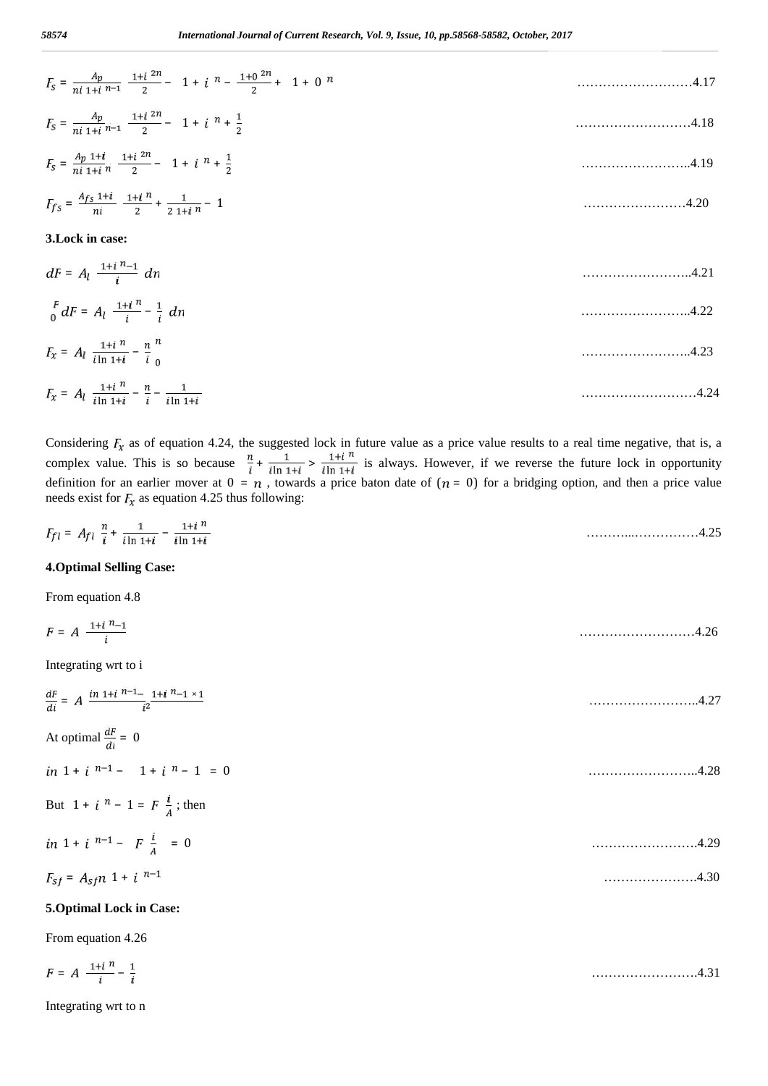| $F_5 = \frac{A_p}{n! \cdot 1 + i \cdot n} = \frac{1 + i \cdot 2^n}{2} - 1 + i \cdot n - \frac{1 + 0 \cdot 2^n}{2} + 1 + 0 \cdot n$ | 4.17 |
|------------------------------------------------------------------------------------------------------------------------------------|------|
| $F_s = \frac{A_p}{ni \ 1 + i \ n - 1} \frac{1 + i \ 2n}{2} - 1 + i \ n + \frac{1}{2}$                                              |      |
| $F_s = \frac{A_p 1 + i}{n i 1 + i n} \frac{1 + i 2n}{2} - 1 + i n + \frac{1}{2}$                                                   | 4.19 |
| $F_{fs} = \frac{A_{fs} 1+i}{ni} \frac{1+i}{2} + \frac{1}{2} \frac{1}{1+i} \frac{1}{n} - 1$                                         |      |
| 3. Lock in case:                                                                                                                   |      |
| $dF = A_l \frac{1+i^{n-1}}{i} dn$                                                                                                  |      |
| $\int_{0}^{F} dF = A_l \frac{1+i}{i} \frac{n}{i} - \frac{1}{i} dn$                                                                 | 4.22 |
| $F_x = A_l \frac{1+i}{\ln 1+i} - \frac{n}{i} \frac{n}{e}$                                                                          | 4.23 |
| $F_x = A_l \frac{1+i}{\ln 1+i} - \frac{n}{i} - \frac{1}{\ln 1+i}$                                                                  |      |

Considering  $F_x$  as of equation 4.24, the suggested lock in future value as a price value results to a real time negative, that is, a complex value. This is so because  $\frac{n}{i} + \frac{1}{i \ln 1 + i}$  is always. However, if we reverse the future lock in opportunity definition for an earlier mover at  $0 = n$ , towards a price baton date of  $(n = 0)$  for a bridging option, and then a price value needs exist for  $F_x$  as equation 4.25 thus following:

| $-0.000$<br>$F_{f1}$ = |                            |      |     |       |  |
|------------------------|----------------------------|------|-----|-------|--|
|                        | the company of the company | i In | iln | ر ∠.⊾ |  |

#### **4.Optimal Selling Case:**

From equation 4.8

| $F = A \frac{1+i^{n}-1}{i}$                                                   | 4.26 |  |
|-------------------------------------------------------------------------------|------|--|
| Integrating wrt to i                                                          |      |  |
| $\frac{dF}{di} = A \frac{in \ 1+i \ n-1}{i^2} \frac{1+i \ n-1 \times 1}{i^2}$ | 4.27 |  |
| At optimal $\frac{dF}{di} = 0$                                                |      |  |
| $in 1 + i n^{-1} - 1 + i n - 1 = 0$                                           | 4.28 |  |
| But $1 + i^{-n} - 1 = F\frac{i}{4}$ ; then                                    |      |  |
| in 1 + i $^{n-1}$ - F $\frac{i}{4}$ = 0                                       | 4.29 |  |
| $F_{sf} = A_{sf} n 1 + i n^{-1}$                                              | 4.30 |  |
| 5. Optimal Lock in Case:                                                      |      |  |
| From equation 4.26                                                            |      |  |
| $F = A \frac{1+i}{i} - \frac{1}{i}$                                           |      |  |

Integrating wrt to n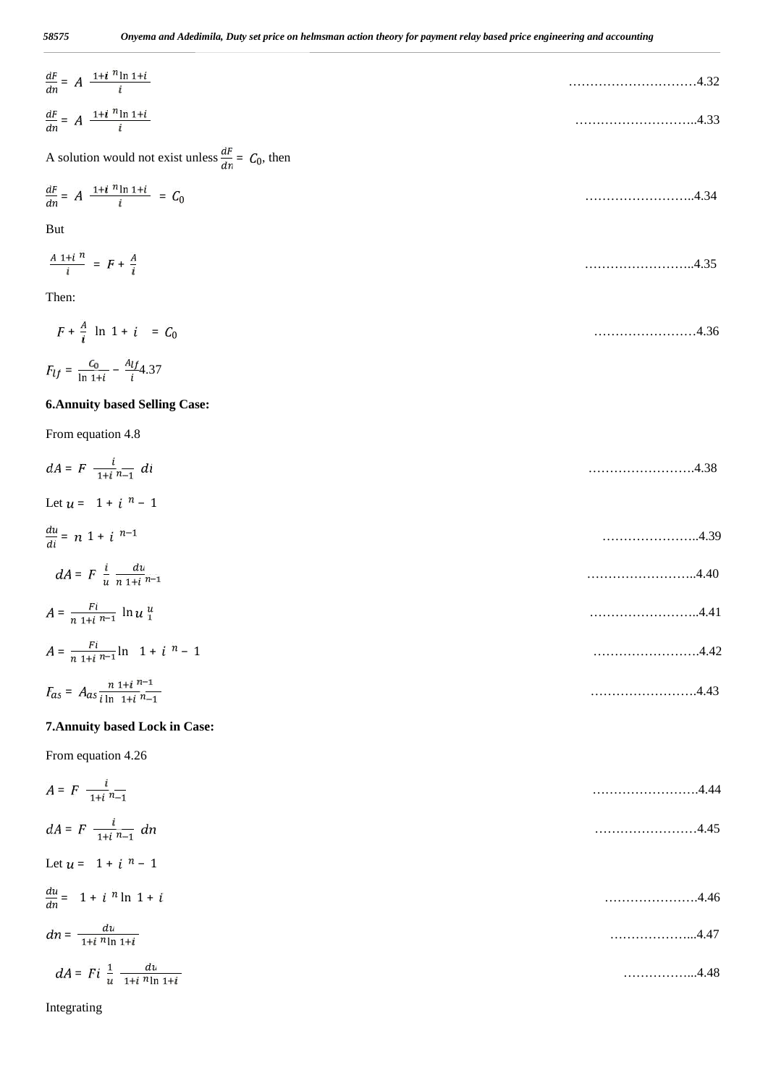| $\frac{dF}{dn} = A \frac{1+i^2 \ln 1+i}{i}$                      |      |
|------------------------------------------------------------------|------|
| $\frac{dF}{dn} = A \frac{1+i^2 \ln 1+i}{i}$                      |      |
| A solution would not exist unless $\frac{dF}{dn} = C_0$ , then   |      |
| $\frac{dF}{dn} = A \frac{1 + i \frac{n \ln 1 + i}{i}}{i} = C_0$  | 4.34 |
| <b>But</b>                                                       |      |
| $\frac{A 1+i^{\,n}}{i} = F + \frac{A}{i}$                        | 4.35 |
| Then:                                                            |      |
| $F + \frac{A}{i} \ln 1 + i = C_0$                                |      |
| $F_{lf} = \frac{C_0}{\ln 1 + i} - \frac{Alf}{i} 4.37$            |      |
| <b>6. Annuity based Selling Case:</b>                            |      |
| From equation 4.8                                                |      |
| $dA = F \frac{i}{1+i} n_{-1}$ di                                 | 4.38 |
| Let $u = 1 + i^{-n} - 1$                                         |      |
| $\frac{du}{di} = n(1+i)^{n-1}$                                   | 4.39 |
| $dA = F \frac{i}{u} \frac{du}{n+1}$                              |      |
| $A = \frac{Fi}{n+1+1} \ln u_1^u$                                 |      |
| $A = \frac{Fi}{n 1 + i n - 1} \ln 1 + i n - 1$                   |      |
| $F_{as} = A_{as} \frac{n \; 1+i \; n-1}{i \; \ln \; 1+i \; n-1}$ |      |
| 7. Annuity based Lock in Case:                                   |      |
| From equation 4.26                                               |      |
| $A = F \frac{i}{1+i} \frac{1}{n-1}$                              |      |
| $dA = F \frac{i}{1+i} \frac{1}{n-1} dn$                          |      |
| Let $u = 1 + i^{-n} - 1$                                         |      |
| $rac{du}{dn} = 1 + i \sqrt{n} \ln 1 + i$                         | 4.46 |
| $dn = \frac{du}{1 + i \; n \ln \; 1 + i}$                        |      |
| $dA = Fi \frac{1}{u} \frac{du}{1+i n \ln 1+i}$                   | 4.48 |

Integrating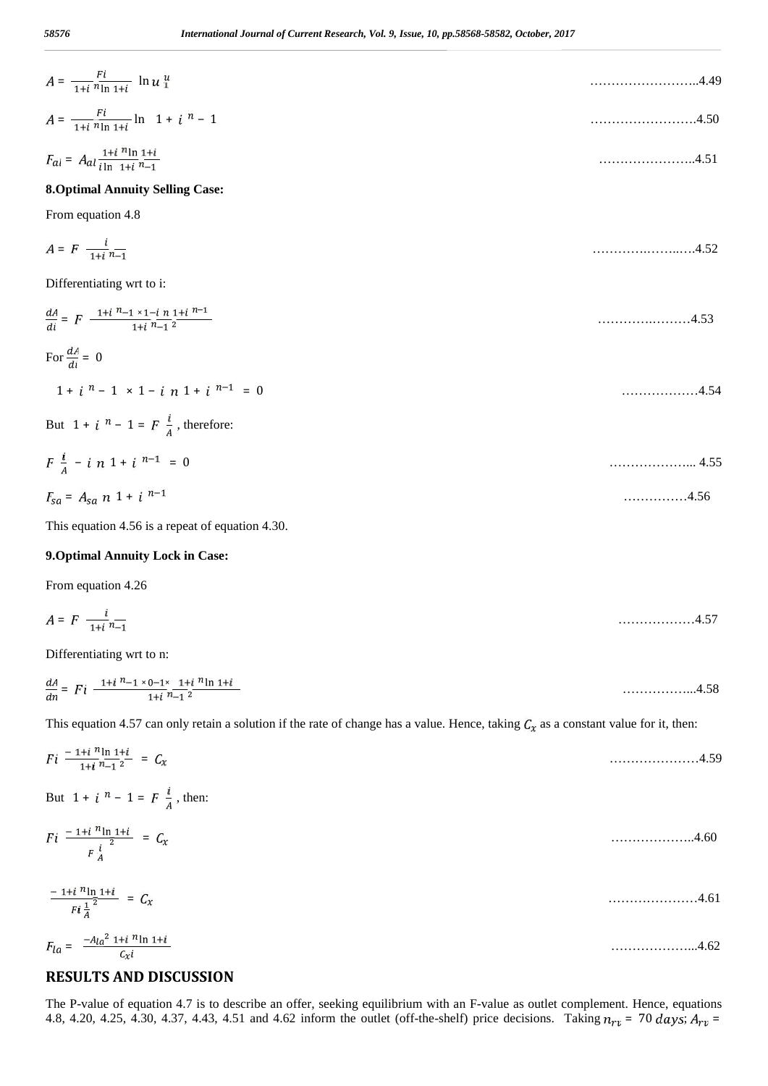| $A = \frac{Fi}{1+i n \ln 1+i} \ln u_i^u$                                       |      |  |
|--------------------------------------------------------------------------------|------|--|
| $A = \frac{Fi}{1+i n \ln 1+i} \ln 1 + i n - 1$                                 |      |  |
| $F_{al} = A_{al} \frac{1+i}{i \ln 1+i} \frac{n \ln 1+i}{n-1}$                  |      |  |
| <b>8. Optimal Annuity Selling Case:</b>                                        |      |  |
| From equation 4.8                                                              |      |  |
| $A = F \frac{i}{1+i} \frac{1}{n-1}$                                            | 4.52 |  |
| Differentiating wrt to i:                                                      |      |  |
| $\frac{dA}{dt} = F \frac{1+i^{n}-1 \times 1-i \; n \; 1+i \; n-1}{1+i \; n-2}$ |      |  |

$$
\frac{di}{di} = F \xrightarrow{4.53}
$$
  
For  $\frac{dA}{di} = 0$   
1 + i<sup>n</sup> - 1 × 1 - i n 1 + i<sup>n-1</sup> = 0  
But 1 + i<sup>n</sup> - 1 = F  $\frac{i}{A}$ , therefore:  

$$
F \frac{i}{A} - i n 1 + i^{n-1} = 0
$$
............ 4.55

$$
F_{sa} = A_{sa} \; n \; 1 + i \; ^{n-1} \tag{4.56}
$$

This equation 4.56 is a repeat of equation 4.30.

### **9.Optimal Annuity Lock in Case:**

From equation 4.26

 $\overline{F}$ 

$$
A = F \frac{i}{1+i^{n}-1}
$$
 (4.57)

Differentiating wrt to n:

$$
\frac{dA}{dn} = Fi \frac{1+i^{n}-1 \times 0-1 \times 1+i^{n}\ln 1+i}{1+i^{n}-1^{2}}
$$
............4.58

This equation 4.57 can only retain a solution if the rate of change has a value. Hence, taking  $C_x$  as a constant value for it, then:

$$
Fi = \frac{1+i}{1+i} \frac{n_{\ln 1+i}}{n_{-1}2} = C_x
$$
  
But  $1 + i \frac{n_1}{1} = F \frac{i}{A}$ , then:  

$$
Fi = \frac{1+i}{F \frac{i}{A}} \frac{n_{\ln 1+i}}{n_{\ln 1}} = C_x
$$
  

$$
\frac{-1+i}{F i \frac{1}{A}} \frac{n_{\ln 1+i}}{n_{\ln 1}} = C_x
$$
  
............4.61  

$$
F_{la} = \frac{-A_{la}^2 1+i}{n_{\ln 1}^2} \frac{n_{\ln 1+i}}{n_{\ln 1}}
$$
  
............4.62

## **RESULTS AND DISCUSSION**

The P-value of equation 4.7 is to describe an offer, seeking equilibrium with an F-value as outlet complement. Hence, equations 4.8, 4.20, 4.25, 4.30, 4.37, 4.43, 4.51 and 4.62 inform the outlet (off-the-shelf) price decisions. Taking  $n_{rv}$  = 70 days;  $A_{rv}$  =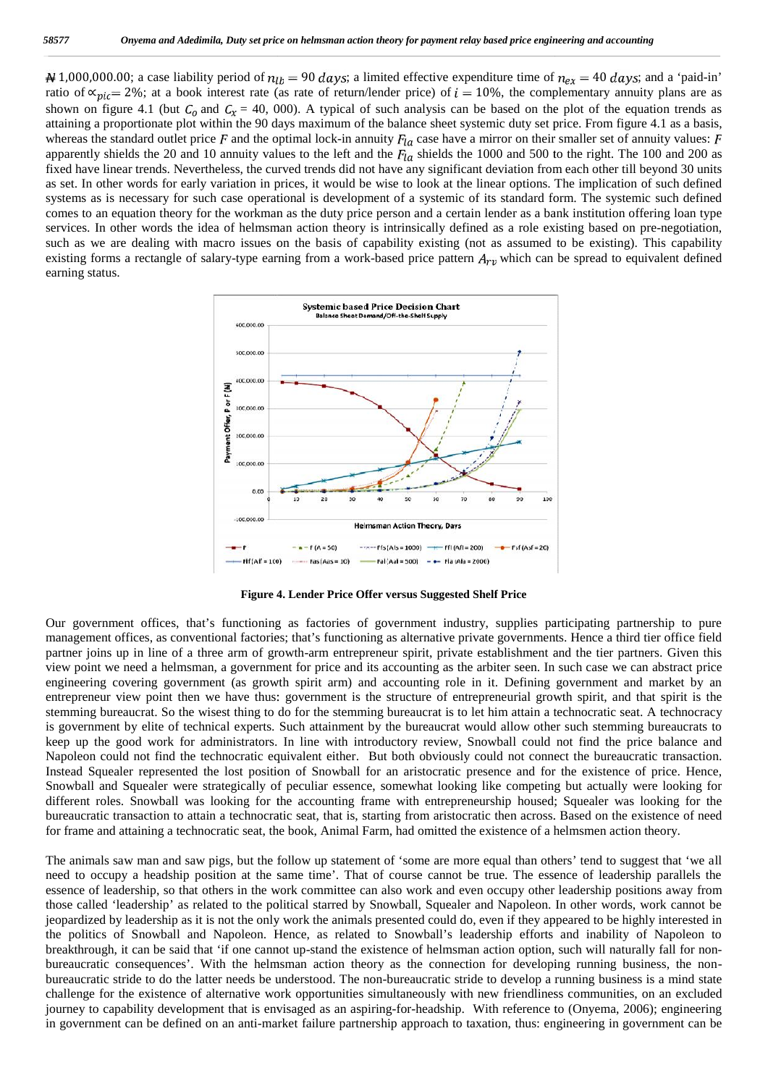4 1,000,000.00; a case liability period of  $n_{lb} = 90$  days; a limited effective expenditure time of  $n_{ex} = 40$  days; and a 'paid-in' ratio of  $\alpha_{\text{pic}} = 2\%$ ; at a book interest rate (as rate of return/lender price) of  $i = 10\%$ , the complementary annuity plans are as shown on figure 4.1 (but  $C_0$  and  $C_x = 40$ , 000). A typical of such analysis can be based on the plot of the equation trends as attaining a proportionate plot within the 90 days maximum of the balance sheet systemic duty set price. From figure 4.1 as a basis, whereas the standard outlet price F and the optimal lock-in annuity  $F_{la}$  case have a mirror on their smaller set of annuity values: F apparently shields the 20 and 10 annuity values to the left and the  $F_{1a}$  shields the 1000 and 500 to the right. The 100 and 200 as fixed have linear trends. Nevertheless, the curved trends did not have any significant deviation from each other till beyond 30 units as set. In other words for early variation in prices, it would be wise to look at the linear options. The implication of such defined systems as is necessary for such case operational is development of a systemic of its standard form. The systemic such defined comes to an equation theory for the workman as the duty price person and a certain lender as a bank institution offering loan type services. In other words the idea of helmsman action theory is intrinsically defined as a role existing based on pre-negotiation, such as we are dealing with macro issues on the basis of capability existing (not as assumed to be existing). This capability existing forms a rectangle of salary-type earning from a work-based price pattern  $A_{rv}$  which can be spread to equivalent defined earning status. **All** 1,000,000.00; a case liability period of  $n_{tb} = 90$  days; a limited effective expenditure time of  $n_{ex} = 40$  days; and a 'paid-in'<br>ratio of  $\alpha_{pic} = 2\%$ ; at a book interest rate (as rate of return/lender price) of



Figure 4. Lender Price Offer versus Suggested Shelf Price

Our government offices, that's functioning as factories of government industry, supplies participating partnership to pure management offices, as conventional factories; that's functioning as alternative private governments. Hence a third tier office field partner joins up in line of a three arm of growth-arm entrepreneur spirit, private establishment and the tier partners. Given this view point we need a helmsman, a government for price and its accounting as the arbiter seen. In such case we can abstract price engineering covering government (as growth spirit arm) and accounting role in it. Defining government and market by an entrepreneur view point then we have thus: government is the structure of entrepreneurial growth spirit, and that spirit is the stemming bureaucrat. So the wisest thing to do for the stemming bureaucrat is to let him attain a technocratic seat. A technocracy is government by elite of technical experts. Such attainment by the bureaucrat would allow other such stemming bureaucrats to keep up the good work for administrators. In line with introductory review, Snowball could not find the price balance and Napoleon could not find the technocratic equivalent either. But both obviously could not connect the bureaucratic transaction. Instead Squealer represented the lost position of Snowball for an aristocratic presence and for the existence of price. Hence, Snowball and Squealer were strategically of peculiar essence, somewhat looking like competing but actually were looking for different roles. Snowball was looking for the accounting frame with entrepreneurship housed; Squealer was looking for the bureaucratic transaction to attain a technocratic seat, that is, starting from aristocratic then across. Based on the existence of need for frame and attaining a technocratic seat, the book, Animal Farm, had omitted the existence of a helmsmen action theory. Our government offices, that's functioning as factories of government industry, supplies participating partnership to pure<br>management offices, as conventional factories; that's functioning as alternative private government bureaucratic do the needs change in the new of the needs charge in the new of the new of the new of the new of the new of the new of the new of the new of the new of the new of the new of the new of the new of the new of t

The animals saw man and saw pigs, but the follow up statement of 'some are more equal than others' tend to suggest that 'we all need to occupy a headship position at the same time'. That of course cannot be true. The essence of leadership parallels the essence of leadership, so that others in the work committee can also work and even occupy other leadership positions away from those called 'leadership' as related to the political starred by Snowball, Squealer and Napoleon. In other words, work cannot be jeopardized by leadership as it is not the only work the animals presented could do, even if they appeared to be highly interested in the politics of Snowball and Napoleon. Hence, as related to Snowball's leadership efforts and inability of Napoleon to breakthrough, it can be said that 'if one cannot up-stand the existence of helmsman action option, such will naturally fall for non jeopardized by leadership as it is not the only work the animals presented could do, even if they appeared to be highly interested in<br>the politics of Snowball and Napoleon. Hence, as related to Snowball's leadership effort bureaucratic stride to do the latter needs be understood. The non-bureaucratic stride to develop a running business is a mind state challenge for the existence of alternative work opportunities simultaneously with new friendliness communities, on an excluded journey to capability development that is envisaged as an aspiring-for-headship. With reference to (Onyema, 2006); engineering in government can be defined on an anti-market failure partnership approach to taxation, thus: engineering in government can be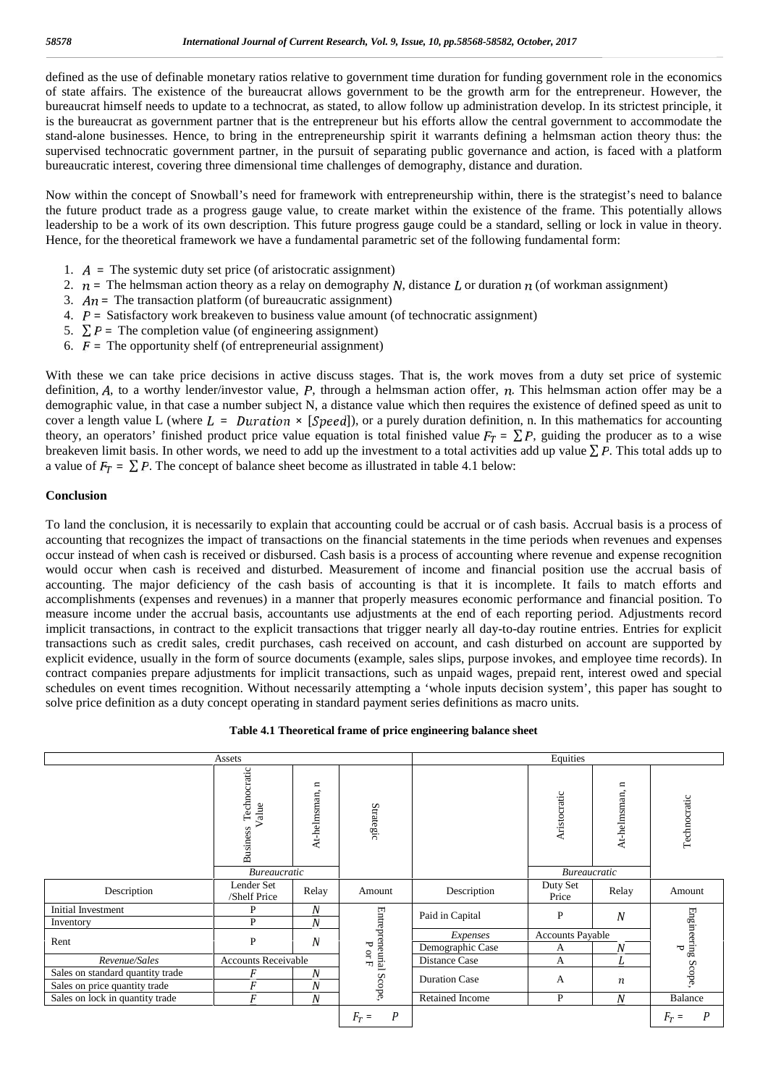defined as the use of definable monetary ratios relative to government time duration for funding government role in the economics of state affairs. The existence of the bureaucrat allows government to be the growth arm for the entrepreneur. However, the bureaucrat himself needs to update to a technocrat, as stated, to allow follow up administration develop. In its strictest principle, it is the bureaucrat as government partner that is the entrepreneur but his efforts allow the central government to accommodate the stand-alone businesses. Hence, to bring in the entrepreneurship spirit it warrants defining a helmsman action theory thus: the supervised technocratic government partner, in the pursuit of separating public governance and action, is faced with a platform bureaucratic interest, covering three dimensional time challenges of demography, distance and duration.

Now within the concept of Snowball's need for framework with entrepreneurship within, there is the strategist's need to balance the future product trade as a progress gauge value, to create market within the existence of the frame. This potentially allows leadership to be a work of its own description. This future progress gauge could be a standard, selling or lock in value in theory. Hence, for the theoretical framework we have a fundamental parametric set of the following fundamental form:

- 1.  $\vec{A}$  = The systemic duty set price (of aristocratic assignment)
- 2.  $n =$  The helmsman action theory as a relay on demography N, distance L or duration n (of workman assignment)
- 3.  $An =$ The transaction platform (of bureaucratic assignment)
- 4.  $P =$  Satisfactory work breakeven to business value amount (of technocratic assignment)
- 5.  $\Sigma P$  = The completion value (of engineering assignment)
- 6.  $F =$  The opportunity shelf (of entrepreneurial assignment)

With these we can take price decisions in active discuss stages. That is, the work moves from a duty set price of systemic definition,  $A$ , to a worthy lender/investor value,  $P$ , through a helmsman action offer,  $n$ . This helmsman action offer may be a demographic value, in that case a number subject N, a distance value which then requires the existence of defined speed as unit to cover a length value L (where  $L = Duration \times [Speed]$ ), or a purely duration definition, n. In this mathematics for accounting theory, an operators' finished product price value equation is total finished value  $F_T = \sum P$ , guiding the producer as to a wise breakeven limit basis. In other words, we need to add up the investment to a total activities add up value  $\sum P$ . This total adds up to a value of  $F_T = \sum P$ . The concept of balance sheet become as illustrated in table 4.1 below:

#### **Conclusion**

To land the conclusion, it is necessarily to explain that accounting could be accrual or of cash basis. Accrual basis is a process of accounting that recognizes the impact of transactions on the financial statements in the time periods when revenues and expenses occur instead of when cash is received or disbursed. Cash basis is a process of accounting where revenue and expense recognition would occur when cash is received and disturbed. Measurement of income and financial position use the accrual basis of accounting. The major deficiency of the cash basis of accounting is that it is incomplete. It fails to match efforts and accomplishments (expenses and revenues) in a manner that properly measures economic performance and financial position. To measure income under the accrual basis, accountants use adjustments at the end of each reporting period. Adjustments record implicit transactions, in contract to the explicit transactions that trigger nearly all day-to-day routine entries. Entries for explicit transactions such as credit sales, credit purchases, cash received on account, and cash disturbed on account are supported by explicit evidence, usually in the form of source documents (example, sales slips, purpose invokes, and employee time records). In contract companies prepare adjustments for implicit transactions, such as unpaid wages, prepaid rent, interest owed and special schedules on event times recognition. Without necessarily attempting a 'whole inputs decision system', this paper has sought to solve price definition as a duty concept operating in standard payment series definitions as macro units.

|                                  |                                          | Equities                     |                        |                      |                         |                              |                    |
|----------------------------------|------------------------------------------|------------------------------|------------------------|----------------------|-------------------------|------------------------------|--------------------|
|                                  | Technocratic<br>Value<br><b>Business</b> | $\mathbf{u}$<br>At-helmsman, | Strategic              |                      | Aristocratic            | $\mathbf{u}$<br>At-helmsman, | Technocratic       |
|                                  | <b>Bureaucratic</b>                      |                              |                        |                      | <b>Bureaucratic</b>     |                              |                    |
| Description                      | Lender Set<br>/Shelf Price               | Relay                        | Amount                 | Description          | Duty Set<br>Price       | Relay                        | Amount             |
| Initial Investment               | P                                        | $\boldsymbol{N}$             |                        |                      | P                       | $\boldsymbol{N}$             |                    |
| Inventory                        | P                                        | N                            |                        | Paid in Capital      |                         |                              |                    |
| Rent                             | P                                        | $\boldsymbol{N}$             |                        | Expenses             | <b>Accounts Payable</b> |                              |                    |
|                                  |                                          |                              | ᠊ᢦ                     | Demographic Case     | А                       | N                            | ъ                  |
| Revenue/Sales                    | Accounts Receivable                      |                              | $_{\rm H}^{\rm CO}$    | Distance Case        | А                       | L                            |                    |
| Sales on standard quantity trade | F                                        | $\boldsymbol{N}$             | Entrepreneurial Scope, |                      |                         |                              | Engineering Scope, |
| Sales on price quantity trade    | F                                        | N                            |                        | <b>Duration Case</b> | A                       | $\boldsymbol{n}$             |                    |
| Sales on lock in quantity trade  | F                                        | $\boldsymbol{N}$             |                        | Retained Income      | P                       | $\boldsymbol{N}$             | Balance            |
|                                  |                                          |                              | P<br>$F_T =$           |                      |                         |                              | P<br>$F_T =$       |

**Table 4.1 Theoretical frame of price engineering balance sheet**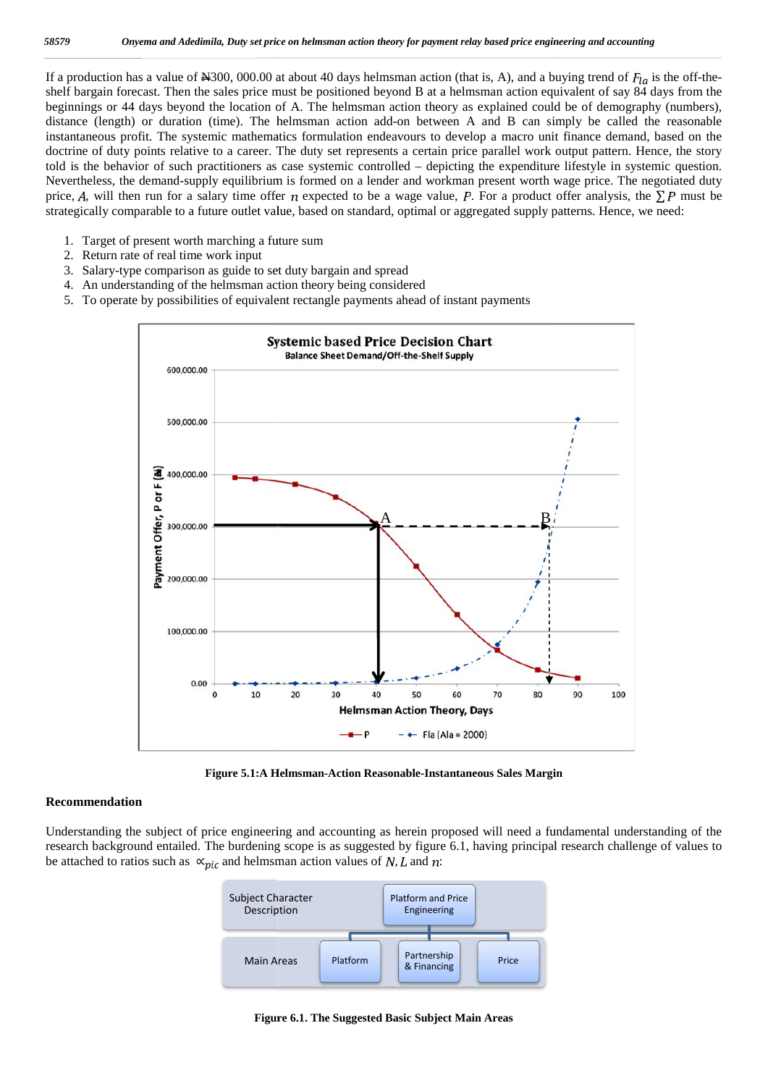If a production has a value of N300, 000.00 at about 40 days helmsman action (that is, A), and a buying trend of  $F_{la}$  is the off-theshelf bargain forecast. Then the sales price must be positioned beyond B at a helmsman action equivalent of say 84 days from the beginnings or 44 days beyond the location of A. The helmsman action theory as explained could be of demography (numbers), distance (length) or duration (time). The helmsman action add-on between A and B can simply be called the reasonable instantaneous profit. The systemic mathematics formulation endeavours to develop a macro unit finance demand, based on the doctrine of duty points relative to a career. The duty set represents a certain price parallel work output pattern. Hence, the story told is the behavior of such practitioners as case systemic controlled – depicting the expenditure lifestyle in systemic question. Nevertheless, the demand-supply equilibrium is formed on a lender and workman present worth wage price. The negotiated duty price, A, will then run for a salary time offer n expected to be a wage value, P. For a product offer analysis, the  $\Sigma P$  must be strategically comparable to a future outlet value, based on standard, optimal or aggregated supply patterns. Hence, we need: If a production has a value of N300, 000.00 at about 40 days helmsman action (that is, A), and a buying trend of  $F_{la}$  is the off-the-<br>shelf bargain forecast. Then the sales price must be positioned beyond B at a helmsma price,  $A$ , will then run for a salary time offer  $n$  expected to be a wage value,  $P$ . For a product offer analysis, strategically comparable to a future outlet value, based on standard, optimal or aggregated supply patt

- 1. Target of present worth marching a future sum
- 2. Return rate of real time work input
- 3. Salary-type comparison as guide to set duty bargain and spread urn rate of real time work input<br>ary-type comparison as guide to set duty bargain and<br>understanding of the helmsman action theory being c
- 4. An understanding of the helmsman action theory being considered
- 5. To operate by possibilities of equivalent rectangle payments ahead of instant payments



**Figure 5.1:A Helmsman-Action Reasonable-Instantaneous Sales Margin**

#### **Recommendation Recommendation**

Understanding the subject of price engineering and accounting as herein proposed will need a fundamental understanding of the research background entailed. The burdening scope is as suggested by figure 6.1, having princip research background entailed. The burdening scope is as suggested by figure 6.1, having principal research challenge of values to be attached to ratios such as  $\propto_{\text{pic}}$  and helmsman action values of N, L and n:



**Figure 6.1. The Suggested Basic Subject Main Areas Basic Subject**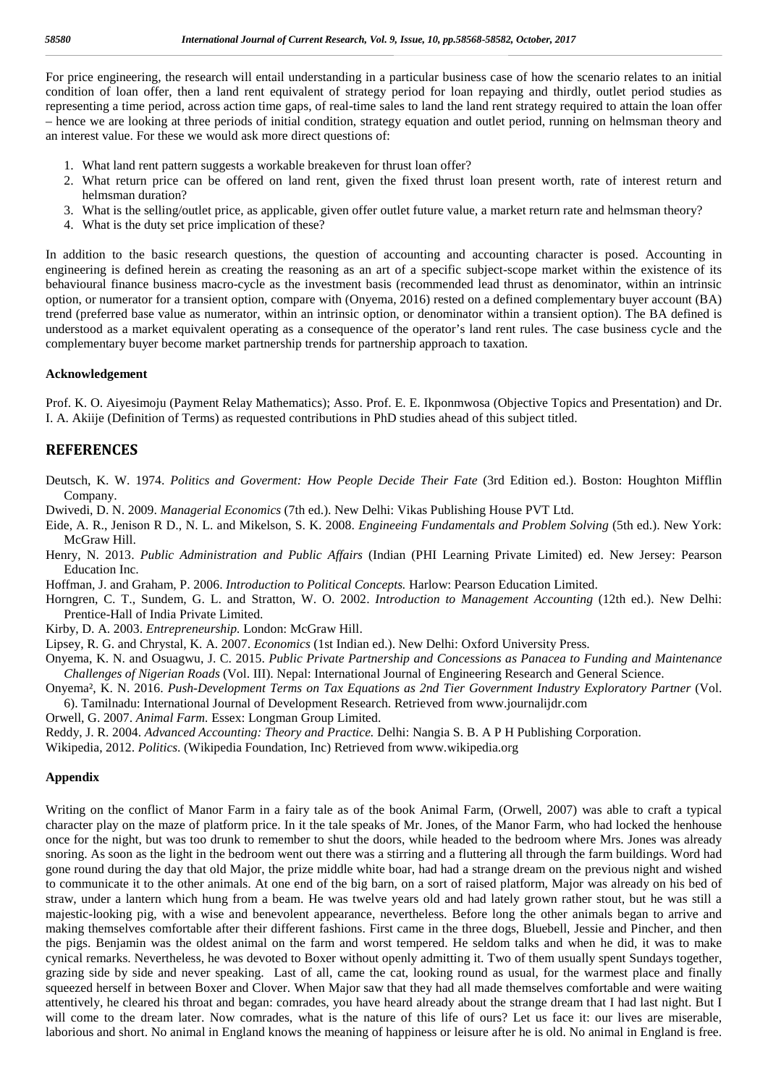For price engineering, the research will entail understanding in a particular business case of how the scenario relates to an initial condition of loan offer, then a land rent equivalent of strategy period for loan repaying and thirdly, outlet period studies as representing a time period, across action time gaps, of real-time sales to land the land rent strategy required to attain the loan offer – hence we are looking at three periods of initial condition, strategy equation and outlet period, running on helmsman theory and an interest value. For these we would ask more direct questions of:

- 1. What land rent pattern suggests a workable breakeven for thrust loan offer?
- 2. What return price can be offered on land rent, given the fixed thrust loan present worth, rate of interest return and helmsman duration?
- 3. What is the selling/outlet price, as applicable, given offer outlet future value, a market return rate and helmsman theory?
- 4. What is the duty set price implication of these?

In addition to the basic research questions, the question of accounting and accounting character is posed. Accounting in engineering is defined herein as creating the reasoning as an art of a specific subject-scope market within the existence of its behavioural finance business macro-cycle as the investment basis (recommended lead thrust as denominator, within an intrinsic option, or numerator for a transient option, compare with (Onyema, 2016) rested on a defined complementary buyer account (BA) trend (preferred base value as numerator, within an intrinsic option, or denominator within a transient option). The BA defined is understood as a market equivalent operating as a consequence of the operator's land rent rules. The case business cycle and the complementary buyer become market partnership trends for partnership approach to taxation.

### **Acknowledgement**

Prof. K. O. Aiyesimoju (Payment Relay Mathematics); Asso. Prof. E. E. Ikponmwosa (Objective Topics and Presentation) and Dr. I. A. Akiije (Definition of Terms) as requested contributions in PhD studies ahead of this subject titled.

## **REFERENCES**

Deutsch, K. W. 1974. *Politics and Goverment: How People Decide Their Fate* (3rd Edition ed.). Boston: Houghton Mifflin Company.

- Dwivedi, D. N. 2009. *Managerial Economics* (7th ed.). New Delhi: Vikas Publishing House PVT Ltd.
- Eide, A. R., Jenison R D., N. L. and Mikelson, S. K. 2008. *Engineeing Fundamentals and Problem Solving* (5th ed.). New York: McGraw Hill.
- Henry, N. 2013. *Public Administration and Public Affairs* (Indian (PHI Learning Private Limited) ed. New Jersey: Pearson Education Inc.

Hoffman, J. and Graham, P. 2006. *Introduction to Political Concepts.* Harlow: Pearson Education Limited.

Horngren, C. T., Sundem, G. L. and Stratton, W. O. 2002. *Introduction to Management Accounting* (12th ed.). New Delhi: Prentice-Hall of India Private Limited.

Kirby, D. A. 2003. *Entrepreneurship.* London: McGraw Hill.

Lipsey, R. G. and Chrystal, K. A. 2007. *Economics* (1st Indian ed.). New Delhi: Oxford University Press.

- Onyema, K. N. and Osuagwu, J. C. 2015. *Public Private Partnership and Concessions as Panacea to Funding and Maintenance Challenges of Nigerian Roads* (Vol. III). Nepal: International Journal of Engineering Research and General Science.
- Onyema², K. N. 2016. *Push-Development Terms on Tax Equations as 2nd Tier Government Industry Exploratory Partner* (Vol. 6). Tamilnadu: International Journal of Development Research. Retrieved from www.journalijdr.com

Orwell, G. 2007. *Animal Farm.* Essex: Longman Group Limited.

Reddy, J. R. 2004. *Advanced Accounting: Theory and Practice.* Delhi: Nangia S. B. A P H Publishing Corporation.

Wikipedia, 2012. *Politics*. (Wikipedia Foundation, Inc) Retrieved from www.wikipedia.org

### **Appendix**

Writing on the conflict of Manor Farm in a fairy tale as of the book Animal Farm, (Orwell, 2007) was able to craft a typical character play on the maze of platform price. In it the tale speaks of Mr. Jones, of the Manor Farm, who had locked the henhouse once for the night, but was too drunk to remember to shut the doors, while headed to the bedroom where Mrs. Jones was already snoring. As soon as the light in the bedroom went out there was a stirring and a fluttering all through the farm buildings. Word had gone round during the day that old Major, the prize middle white boar, had had a strange dream on the previous night and wished to communicate it to the other animals. At one end of the big barn, on a sort of raised platform, Major was already on his bed of straw, under a lantern which hung from a beam. He was twelve years old and had lately grown rather stout, but he was still a majestic-looking pig, with a wise and benevolent appearance, nevertheless. Before long the other animals began to arrive and making themselves comfortable after their different fashions. First came in the three dogs, Bluebell, Jessie and Pincher, and then the pigs. Benjamin was the oldest animal on the farm and worst tempered. He seldom talks and when he did, it was to make cynical remarks. Nevertheless, he was devoted to Boxer without openly admitting it. Two of them usually spent Sundays together, grazing side by side and never speaking. Last of all, came the cat, looking round as usual, for the warmest place and finally squeezed herself in between Boxer and Clover. When Major saw that they had all made themselves comfortable and were waiting attentively, he cleared his throat and began: comrades, you have heard already about the strange dream that I had last night. But I will come to the dream later. Now comrades, what is the nature of this life of ours? Let us face it: our lives are miserable, laborious and short. No animal in England knows the meaning of happiness or leisure after he is old. No animal in England is free.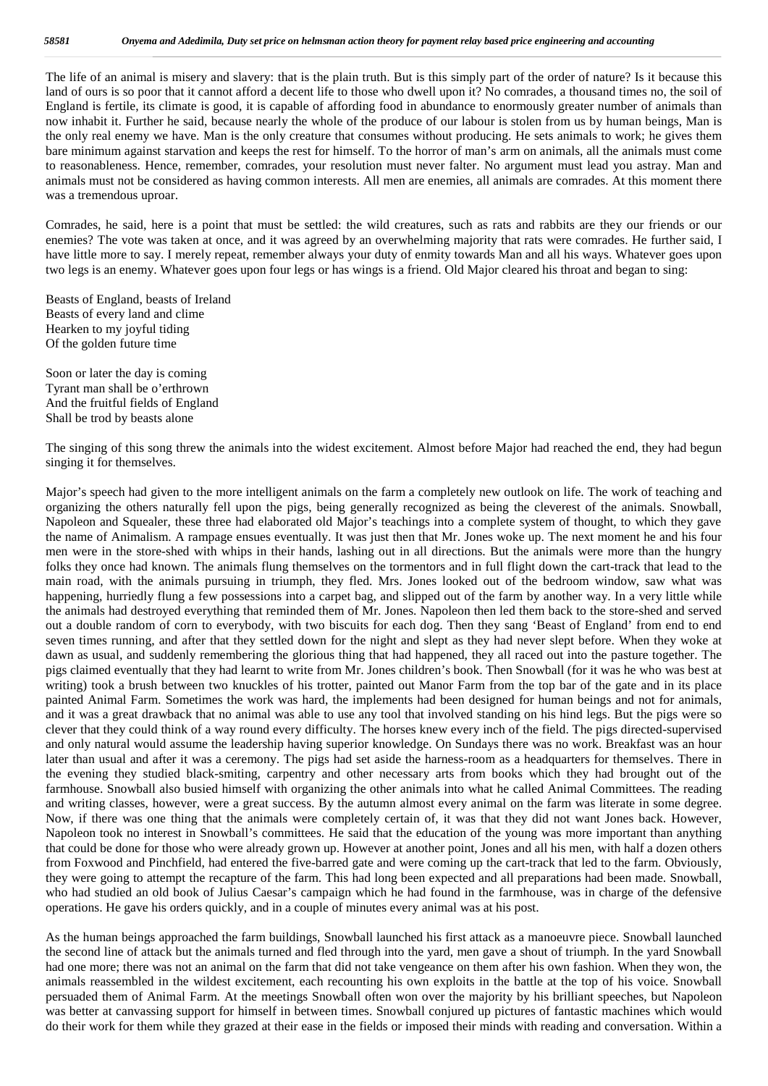The life of an animal is misery and slavery: that is the plain truth. But is this simply part of the order of nature? Is it because this land of ours is so poor that it cannot afford a decent life to those who dwell upon it? No comrades, a thousand times no, the soil of England is fertile, its climate is good, it is capable of affording food in abundance to enormously greater number of animals than now inhabit it. Further he said, because nearly the whole of the produce of our labour is stolen from us by human beings, Man is the only real enemy we have. Man is the only creature that consumes without producing. He sets animals to work; he gives them bare minimum against starvation and keeps the rest for himself. To the horror of man's arm on animals, all the animals must come to reasonableness. Hence, remember, comrades, your resolution must never falter. No argument must lead you astray. Man and animals must not be considered as having common interests. All men are enemies, all animals are comrades. At this moment there was a tremendous uproar.

Comrades, he said, here is a point that must be settled: the wild creatures, such as rats and rabbits are they our friends or our enemies? The vote was taken at once, and it was agreed by an overwhelming majority that rats were comrades. He further said, I have little more to say. I merely repeat, remember always your duty of enmity towards Man and all his ways. Whatever goes upon two legs is an enemy. Whatever goes upon four legs or has wings is a friend. Old Major cleared his throat and began to sing:

Beasts of England, beasts of Ireland Beasts of every land and clime Hearken to my joyful tiding Of the golden future time

Soon or later the day is coming Tyrant man shall be o'erthrown And the fruitful fields of England Shall be trod by beasts alone

The singing of this song threw the animals into the widest excitement. Almost before Major had reached the end, they had begun singing it for themselves.

Major's speech had given to the more intelligent animals on the farm a completely new outlook on life. The work of teaching and organizing the others naturally fell upon the pigs, being generally recognized as being the cleverest of the animals. Snowball, Napoleon and Squealer, these three had elaborated old Major's teachings into a complete system of thought, to which they gave the name of Animalism. A rampage ensues eventually. It was just then that Mr. Jones woke up. The next moment he and his four men were in the store-shed with whips in their hands, lashing out in all directions. But the animals were more than the hungry folks they once had known. The animals flung themselves on the tormentors and in full flight down the cart-track that lead to the main road, with the animals pursuing in triumph, they fled. Mrs. Jones looked out of the bedroom window, saw what was happening, hurriedly flung a few possessions into a carpet bag, and slipped out of the farm by another way. In a very little while the animals had destroyed everything that reminded them of Mr. Jones. Napoleon then led them back to the store-shed and served out a double random of corn to everybody, with two biscuits for each dog. Then they sang 'Beast of England' from end to end seven times running, and after that they settled down for the night and slept as they had never slept before. When they woke at dawn as usual, and suddenly remembering the glorious thing that had happened, they all raced out into the pasture together. The pigs claimed eventually that they had learnt to write from Mr. Jones children's book. Then Snowball (for it was he who was best at writing) took a brush between two knuckles of his trotter, painted out Manor Farm from the top bar of the gate and in its place painted Animal Farm. Sometimes the work was hard, the implements had been designed for human beings and not for animals, and it was a great drawback that no animal was able to use any tool that involved standing on his hind legs. But the pigs were so clever that they could think of a way round every difficulty. The horses knew every inch of the field. The pigs directed-supervised and only natural would assume the leadership having superior knowledge. On Sundays there was no work. Breakfast was an hour later than usual and after it was a ceremony. The pigs had set aside the harness-room as a headquarters for themselves. There in the evening they studied black-smiting, carpentry and other necessary arts from books which they had brought out of the farmhouse. Snowball also busied himself with organizing the other animals into what he called Animal Committees. The reading and writing classes, however, were a great success. By the autumn almost every animal on the farm was literate in some degree. Now, if there was one thing that the animals were completely certain of, it was that they did not want Jones back. However, Napoleon took no interest in Snowball's committees. He said that the education of the young was more important than anything that could be done for those who were already grown up. However at another point, Jones and all his men, with half a dozen others from Foxwood and Pinchfield, had entered the five-barred gate and were coming up the cart-track that led to the farm. Obviously, they were going to attempt the recapture of the farm. This had long been expected and all preparations had been made. Snowball, who had studied an old book of Julius Caesar's campaign which he had found in the farmhouse, was in charge of the defensive operations. He gave his orders quickly, and in a couple of minutes every animal was at his post.

As the human beings approached the farm buildings, Snowball launched his first attack as a manoeuvre piece. Snowball launched the second line of attack but the animals turned and fled through into the yard, men gave a shout of triumph. In the yard Snowball had one more; there was not an animal on the farm that did not take vengeance on them after his own fashion. When they won, the animals reassembled in the wildest excitement, each recounting his own exploits in the battle at the top of his voice. Snowball persuaded them of Animal Farm. At the meetings Snowball often won over the majority by his brilliant speeches, but Napoleon was better at canvassing support for himself in between times. Snowball conjured up pictures of fantastic machines which would do their work for them while they grazed at their ease in the fields or imposed their minds with reading and conversation. Within a